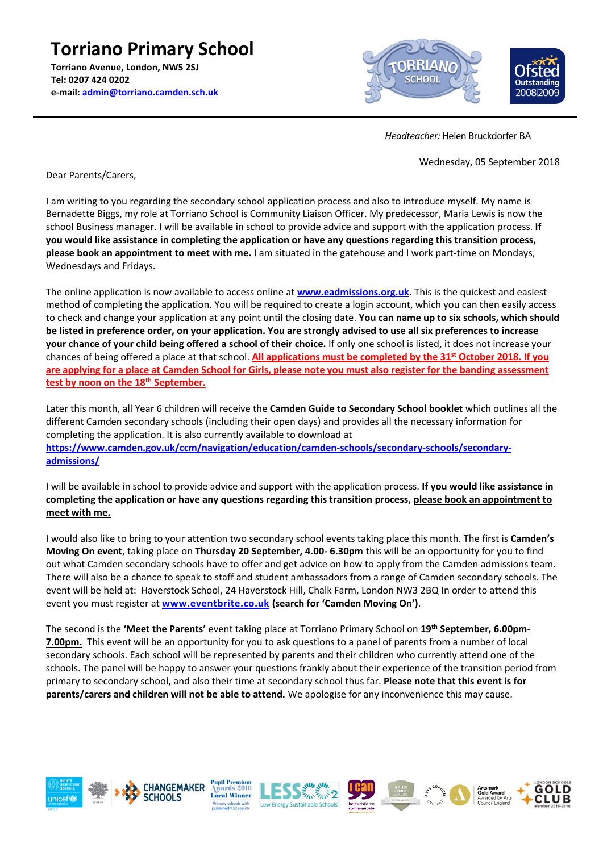**Torriano Primary School Torriano Avenue, London, NW5 2SJ Tel: 0207 424 0202 e-mail[: admin@torriano.camden.sch.uk](mailto:admin@torriano.camden.sch.uk)**



 *Headteacher:* Helen Bruckdorfer BA

Wednesday, 05 September 2018

Dear Parents/Carers,

I am writing to you regarding the secondary school application process and also to introduce myself. My name is Bernadette Biggs, my role at Torriano School is Community Liaison Officer. My predecessor, Maria Lewis is now the school Business manager. I will be available in school to provide advice and support with the application process. **If you would like assistance in completing the application or have any questions regarding this transition process, please book an appointment to meet with me.** I am situated in the gatehouse and I work part-time on Mondays, Wednesdays and Fridays.

The online application is now available to access online at **[www.eadmissions.org.uk.](http://www.eadmissions.org.uk/)** This is the quickest and easiest method of completing the application. You will be required to create a login account, which you can then easily access to check and change your application at any point until the closing date. **You can name up to six schools, which should be listed in preference order, on your application. You are strongly advised to use all six preferences to increase your chance of your child being offered a school of their choice.** If only one school is listed, it does not increase your chances of being offered a place at that school. **All applications must be completed by the 31st October 2018. If you are applying for a place at Camden School for Girls, please note you must also register for the banding assessment test by noon on the 18th September.**

Later this month, all Year 6 children will receive the **Camden Guide to Secondary School booklet** which outlines all the different Camden secondary schools (including their open days) and provides all the necessary information for completing the application. It is also currently available to download at **[https://www.camden.gov.uk/ccm/navigation/education/camden-schools/secondary-schools/secondary](https://www.camden.gov.uk/ccm/navigation/education/camden-schools/secondary-schools/secondary-admissions/)[admissions/](https://www.camden.gov.uk/ccm/navigation/education/camden-schools/secondary-schools/secondary-admissions/)**

I will be available in school to provide advice and support with the application process. **If you would like assistance in completing the application or have any questions regarding this transition process, please book an appointment to meet with me.** 

I would also like to bring to your attention two secondary school events taking place this month. The first is **Camden's Moving On event**, taking place on **Thursday 20 September, 4.00- 6.30pm** this will be an opportunity for you to find out what Camden secondary schools have to offer and get advice on how to apply from the Camden admissions team. There will also be a chance to speak to staff and student ambassadors from a range of Camden secondary schools. The event will be held at: Haverstock School, 24 Haverstock Hill, Chalk Farm, London NW3 2BQ In order to attend this event you must register at **[www.eventbrite.co.uk](http://www.eventbrite.co.uk/) (search for 'Camden Moving On')**.

The second is the **'Meet the Parents'** event taking place at Torriano Primary School on **19th September, 6.00pm-7.00pm.** This event will be an opportunity for you to ask questions to a panel of parents from a number of local secondary schools. Each school will be represented by parents and their children who currently attend one of the schools. The panel will be happy to answer your questions frankly about their experience of the transition period from primary to secondary school, and also their time at secondary school thus far. **Please note that this event is for parents/carers and children will not be able to attend.** We apologise for any inconvenience this may cause.











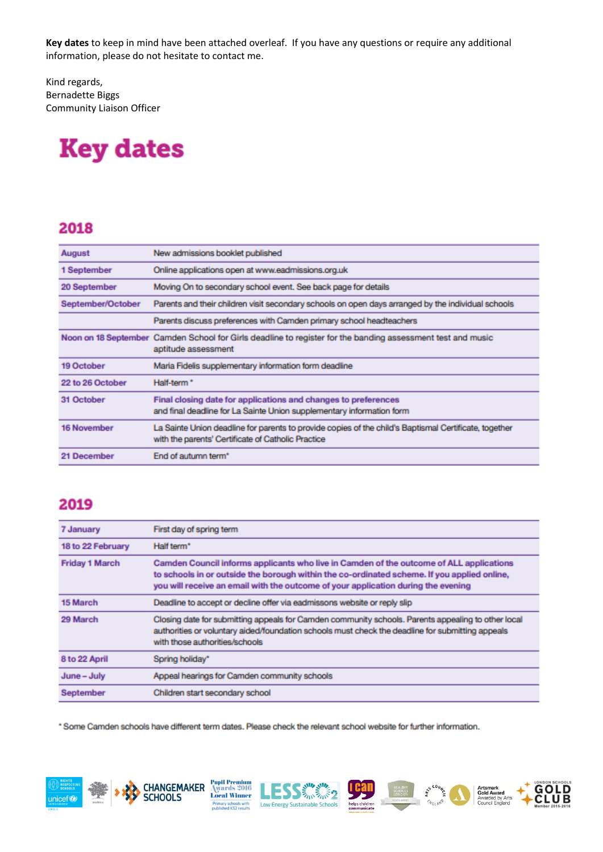**Key dates** to keep in mind have been attached overleaf. If you have any questions or require any additional information, please do not hesitate to contact me.

Kind regards, Bernadette Biggs Community Liaison Officer

# **Key dates**

### 2018

| August             | New admissions booklet published                                                                                                                            |
|--------------------|-------------------------------------------------------------------------------------------------------------------------------------------------------------|
| 1 September        | Online applications open at www.eadmissions.org.uk                                                                                                          |
| 20 September       | Moving On to secondary school event. See back page for details                                                                                              |
| September/October  | Parents and their children visit secondary schools on open days arranged by the individual schools                                                          |
|                    | Parents discuss preferences with Camden primary school headteachers                                                                                         |
|                    | Noon on 18 September Camden School for Girls deadline to register for the banding assessment test and music<br>aptitude assessment                          |
| 19 October         | Maria Fidelis supplementary information form deadline                                                                                                       |
| 22 to 26 October   | Half-term <sup>*</sup>                                                                                                                                      |
| 31 October         | Final closing date for applications and changes to preferences<br>and final deadline for La Sainte Union supplementary information form                     |
| <b>16 November</b> | La Sainte Union deadline for parents to provide copies of the child's Baptismal Certificate, together<br>with the parents' Certificate of Catholic Practice |
| 21 December        | End of autumn term*                                                                                                                                         |

## 2019

| <b>7 January</b>      | First day of spring term                                                                                                                                                                                                                                                    |
|-----------------------|-----------------------------------------------------------------------------------------------------------------------------------------------------------------------------------------------------------------------------------------------------------------------------|
| 18 to 22 February     | Half term <sup>*</sup>                                                                                                                                                                                                                                                      |
| <b>Friday 1 March</b> | Camden Council informs applicants who live in Camden of the outcome of ALL applications<br>to schools in or outside the borough within the co-ordinated scheme. If you applied online,<br>you will receive an email with the outcome of your application during the evening |
| 15 March              | Deadline to accept or decline offer via eadmissons website or reply slip                                                                                                                                                                                                    |
| 29 March              | Closing date for submitting appeals for Camden community schools. Parents appealing to other local<br>authorities or voluntary aided/foundation schools must check the deadline for submitting appeals<br>with those authorities/schools                                    |
| 8 to 22 April         | Spring holiday*                                                                                                                                                                                                                                                             |
| June - July           | Appeal hearings for Camden community schools                                                                                                                                                                                                                                |
| September             | Children start secondary school                                                                                                                                                                                                                                             |

**SSE SANSANS** 

Low Energy Sustainable Schools

\* Some Camden schools have different term dates. Please check the relevant school website for further information.

**Pupil Premium<br>Awards 2016<br>Local Winner** 

imary schools with<br>blished KS2 results

**CHANGEMAKER** 

**SCHOOLS** 





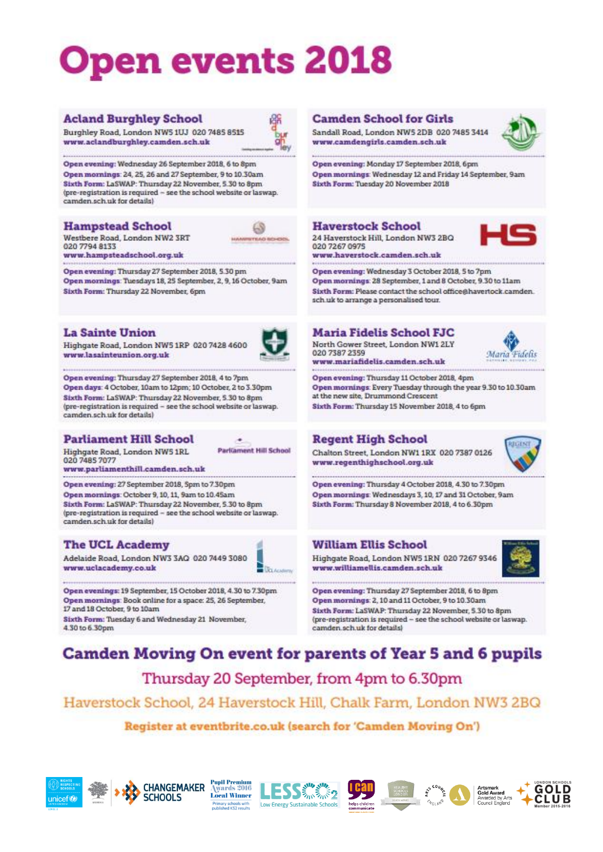# pen events 2018

#### **Acland Burghley School**

Burghley Road, London NWS 1UJ 020 7485 8515 www.aclandburghley.camden.sch.uk

Open evening: Wednesday 26 September 2018, 6 to 8pm Open mornings: 24, 25, 26 and 27 September, 9 to 10,30am Sixth Form: LaSWAP: Thursday 22 November, 5.30 to 8pm (pre-registration is required - see the school website or laswap. camden.sch.uk for details)

#### **Hampstead School**

Westbere Road, London NW2 3RT 020 7794 8133

www.hampsteadschool.org.uk

Open evening: Thursday 27 September 2018, 5.30 pm Open mornings: Tuesdays 18, 25 September, 2, 9, 16 October, 9am Sixth Form: Thursday 22 November, 6pm

#### **La Sainte Union**

Highgate Road, London NW5 1RP 020 7428 4600 www.lasainteunion.org.uk



 $68$ 

**CART** 

Open evening: Thursday 27 September 2018, 4 to 7pm Open days: 4 October, 10am to 12pm; 10 October, 2 to 3.30pm Sixth Form: LaSWAP: Thursday 22 November, 5.30 to 8pm (pre-registration is required - see the school website or laswap. camden.sch.uk for details)

#### **Parliament Hill School**

Highgate Road, London NWS 1RL 020 7485 7077

www.parliamenthill.camden.sch.uk

Open evening: 27 September 2018, Spm to 7.30pm Open mornings: October 9, 10, 11, 9am to 10.45am Sixth Form: LaSWAP: Thursday 22 November, 5.30 to 8pm (pre-registration is required - see the school website or laswap. camden sch.uk for details)

#### **The UCL Academy**



**Local Winner** 

Primary schools with<br>published KS2 results

**Parliament Hill School** 

Adelaide Road, London NW3 3AQ 020 7449 3080 www.uclacademy.co.uk

Open evenings: 19 September, 15 October 2018, 4.30 to 7.30pm Open mornings: Book online for a space: 25, 26 September, 17 and 18 October, 9 to 10am

Sixth Form: Tuesday 6 and Wednesday 21 November, 4.30 to 6.30pm

#### **Camden School for Girls**

Sandall Road, London NW5 2DB 020 7485 3414 www.camdengirls.camden.sch.uk

Open evening: Monday 17 September 2018, 6pm Open mornings: Wednesday 12 and Friday 14 September, 9am Sixth Form: Tuesday 20 November 2018

#### **Haverstock School**

24 Haverstock Hill, London NW3 2BQ 020 7267 0975

www.haverstock.camden.sch.uk

Open evening: Wednesday 3 October 2018, 5 to 7pm Open mornings: 28 September, 1 and 8 October, 9.30 to 11am Sixth Form: Please contact the school office@havertock.camden. sch uk to arrange a personalised tour.

## **Maria Fidelis School FJC**

North Gower Street, London NW1 2LY 020 7387 2359 www.mariafidelis.camden.sch.uk



Open evening: Thursday 11 October 2018, 4pm Open mornings: Every Tuesday through the year 9.30 to 10.30am at the new site, Drummond Crescent Sixth Form: Thursday 15 November 2018, 4 to 6pm

#### **Regent High School**

Chalton Street, London NW1 1RX 020 7387 0126 www.regenthighschool.org.uk



Open evening: Thursday 4 October 2018, 4.30 to 7.30pm Open mornings: Wednesdays 3, 10, 17 and 31 October, 9am Sixth Form: Thursday 8 November 2018, 4 to 6.30pm

#### **William Ellis School**

Highgate Road, London NWS 1RN 020 7267 9346 www.williamellis.camden.sch.uk



Open evening: Thursday 27 September 2018, 6 to 8pm Open mornings: 2, 10 and 11 October, 9 to 10.30am Sixth Form: LaSWAP: Thursday 22 November, 5.30 to 8pm (pre-registration is required - see the school website or laswap. camden sch.uk for details)

## Camden Moving On event for parents of Year 5 and 6 pupils

Thursday 20 September, from 4pm to 6.30pm

## Haverstock School, 24 Haverstock Hill, Chalk Farm, London NW3 2BQ

#### Register at eventbrite.co.uk (search for 'Camden Moving On')